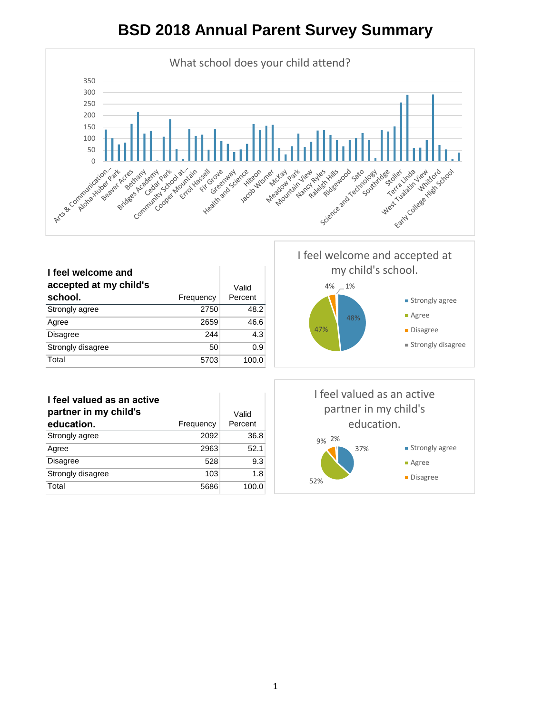

|                        |           |         | I feel welcome and accepted at |  |
|------------------------|-----------|---------|--------------------------------|--|
| I feel welcome and     |           |         | my child's school.             |  |
| accepted at my child's |           | Valid   | 4%<br>$-1%$                    |  |
| school.                | Frequency | Percent | ■ Strongly agree               |  |
| Strongly agree         | 2750      | 48.2    | $A$ gree                       |  |
| Agree                  | 2659      | 46.6    | 48%                            |  |
| <b>Disagree</b>        | 244       | 4.3     | 47%<br>• Disagree              |  |
| Strongly disagree      | 50        | 0.9     | ■ Strongly disagree            |  |
| Total                  | 5703      | 100.0   |                                |  |
|                        |           |         |                                |  |

| I feel valued as an active<br>partner in my child's |           | Valid   |
|-----------------------------------------------------|-----------|---------|
| education.                                          | Frequency | Percent |
|                                                     |           |         |
| Strongly agree                                      | 2092      | 36.8    |
| Agree                                               | 2963      | 52.1    |
| <b>Disagree</b>                                     | 528       | 9.3     |
| Strongly disagree                                   | 103       | 1.8     |
| Total                                               | 5686      | 100.0   |

37% 52% 9% 2% I feel valued as an active partner in my child's education. **Strongly agree** Agree **Disagree**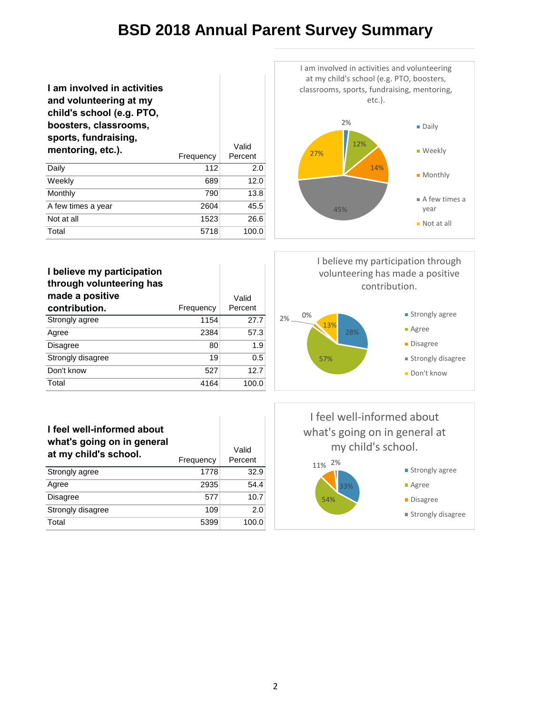Ï

| I am involved in activities<br>and volunteering at my<br>child's school (e.g. PTO,<br>boosters, classrooms,<br>sports, fundraising,<br>mentoring, etc.). | Frequency | Valid<br>Percent |
|----------------------------------------------------------------------------------------------------------------------------------------------------------|-----------|------------------|
| Daily                                                                                                                                                    | 112       | 2.0              |
| Weekly                                                                                                                                                   | 689       | 12.0             |
| Monthly                                                                                                                                                  | 790       | 13.8             |
| A few times a year                                                                                                                                       | 2604      | 45.5             |
| Not at all                                                                                                                                               | 1523      | 26.6             |
| Total                                                                                                                                                    | 5718      | 100.0            |



| I believe my participation<br>through volunteering has<br>made a positive |           | Valid   |
|---------------------------------------------------------------------------|-----------|---------|
| contribution.                                                             | Frequency | Percent |
| Strongly agree                                                            | 1154      | 27.7    |
| Agree                                                                     | 2384      | 57.3    |
| <b>Disagree</b>                                                           | 80        | 1.9     |
| Strongly disagree                                                         | 19        | 0.5     |
| Don't know                                                                | 527       | 12.7    |
| Total                                                                     | 4164      | 100.0   |

# I believe my participation through volunteering has made a positive contribution.



| I feel well-informed about<br>what's going on in general<br>at my child's school. | Frequency | Valid<br>Percent |
|-----------------------------------------------------------------------------------|-----------|------------------|
| Strongly agree                                                                    | 1778      | 32.9             |
| Agree                                                                             | 2935      | 54.4             |
| <b>Disagree</b>                                                                   | 577       | 10.7             |
| Strongly disagree                                                                 | 109       | 2.0              |
| Total                                                                             | 5399      | 100.0            |

I feel well-informed about what's going on in general at my child's school.

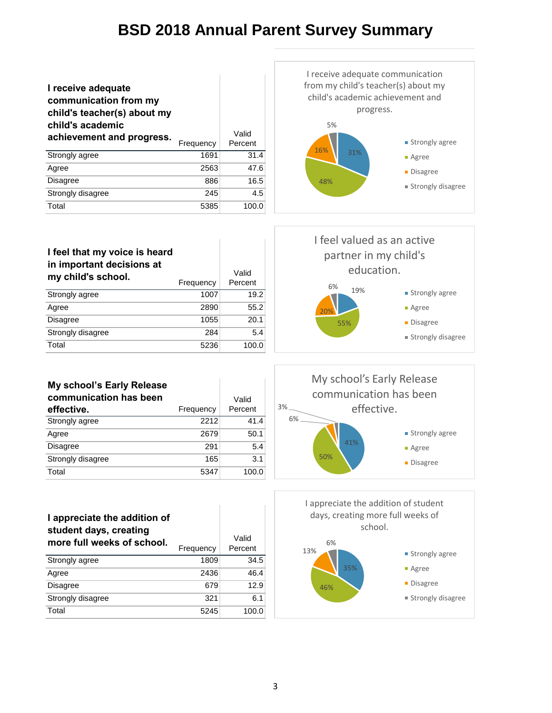| I receive adequate<br>communication from my<br>child's teacher(s) about my<br>child's academic |           |                  |
|------------------------------------------------------------------------------------------------|-----------|------------------|
| achievement and progress.                                                                      | Frequency | Valid<br>Percent |
| Strongly agree                                                                                 | 1691      | 31.4             |
| Agree                                                                                          | 2563      | 47.6             |
| Disagree                                                                                       | 886       | 16.5             |
| Strongly disagree                                                                              | 245       | 4.5              |
| Total                                                                                          | 5385      | 100.0            |



| I feel that my voice is heard<br>in important decisions at<br>my child's school. | Frequency | Valid<br>Percent | TTEET VAIT<br>partne<br>ec<br>6% |
|----------------------------------------------------------------------------------|-----------|------------------|----------------------------------|
| Strongly agree                                                                   | 1007      | 19.2             | 1 <sup>c</sup>                   |
| Agree                                                                            | 2890      | 55.2             | 20%                              |
| <b>Disagree</b>                                                                  | 1055      | 20.1             | 55%                              |
| Strongly disagree                                                                | 284       | 5.4              |                                  |
| Total                                                                            | 5236      | 100.0            |                                  |

J.



|  |  | My school's Early Release |
|--|--|---------------------------|
|  |  |                           |

| communication has been | Valid     |         |
|------------------------|-----------|---------|
| effective.             | Frequency | Percent |
| Strongly agree         | 2212      | 41.4    |
| Agree                  | 2679      | 50.1    |
| <b>Disagree</b>        | 291       | 5.4     |
| Strongly disagree      | 165       | 3.1     |
| Total                  | 5347      | 100.0   |

#### **I appreciate the addition of student days, creating**

| more full weeks of school. |           | Valid   |
|----------------------------|-----------|---------|
|                            | Frequency | Percent |
| Strongly agree             | 1809      | 34.5    |
| Agree                      | 2436      | 46.4    |
| <b>Disagree</b>            | 679       | 12.9    |
| Strongly disagree          | 321       | 6.1     |
| Total                      | 5245      | 100.0   |



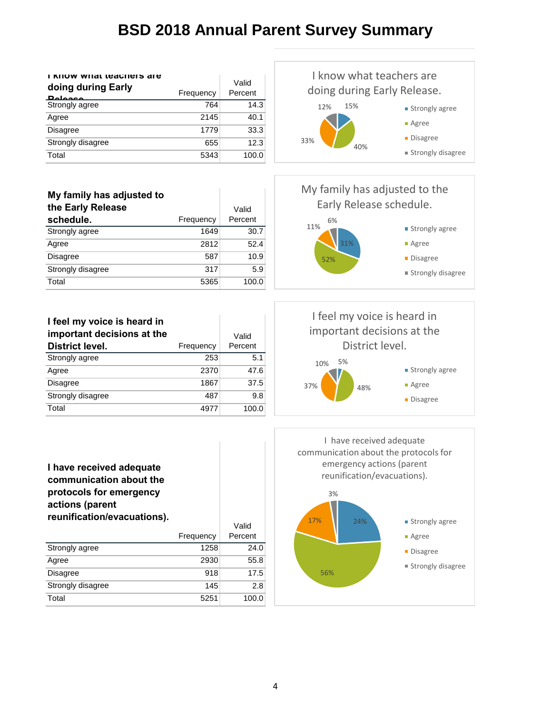| I KIIUW WIIAL LUACHUIS AIU<br>doing during Early<br><b>Delegge</b> | Frequency | Valid<br>Percent |
|--------------------------------------------------------------------|-----------|------------------|
| Strongly agree                                                     | 764       | 14.3             |
| Agree                                                              | 2145      | 40.1             |
| <b>Disagree</b>                                                    | 1779      | 33.3             |
| Strongly disagree                                                  | 655       | 12.3             |
| Total                                                              | 5343      | 100.0            |

#### 15% 40% 33% 12% I know what teachers are doing during Early Release. **Strongly agree** Agree **Disagree** Strongly disagree

| My family has adjusted to |           |         |
|---------------------------|-----------|---------|
| the Early Release         |           | Valid   |
| schedule.                 | Frequency | Percent |
| Strongly agree            | 1649      | 30.7    |
| Agree                     | 2812      | 52.4    |
| <b>Disagree</b>           | 587       | 10.9    |
| Strongly disagree         | 317       | 5.9     |
| Total                     | 5365      | 100.0   |

**I feel my voice is heard in important decisions at the District level.** Frequency Valid Percent Strongly agree 253 5.1 Agree 2370 47.6 Disagree 1867 37.5 Strongly disagree 487 9.8 Total 4977 100.0

My family has adjusted to the Early Release schedule.







| ,,,,,,,,,,,,,,,,,,,,,,,,,,,,,,,,,,, |           | Valid   |
|-------------------------------------|-----------|---------|
|                                     | Frequency | Percent |
| Strongly agree                      | 1258      | 24.0    |
| Agree                               | 2930      | 55.8    |
| <b>Disagree</b>                     | 918       | 17.5    |
| Strongly disagree                   | 145       | 2.8     |
| Total                               | 5251      | 100.0   |

I have received adequate communication about the protocols for emergency actions (parent reunification/evacuations).

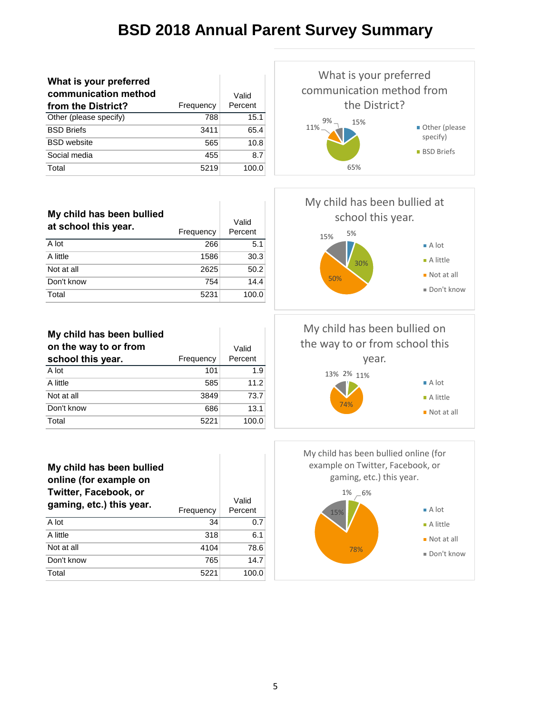| What is your preferred |           |         |
|------------------------|-----------|---------|
| communication method   |           | Valid   |
| from the District?     | Frequency | Percent |
| Other (please specify) | 788       | 15.1    |
| <b>BSD Briefs</b>      | 3411      | 65.4    |
| <b>BSD</b> website     | 565       | 10.8    |
| Social media           | 455       | 8.7     |
| Total                  | 5219      | 100.0   |



| My child has been bullied<br>at school this year. | Frequency | Valid<br>Percent |
|---------------------------------------------------|-----------|------------------|
| A lot                                             | 266       | 5.1              |
| A little                                          | 1586      | 30.3             |
| Not at all                                        | 2625      | 50.2             |
| Don't know                                        | 754       | 14.4             |
| Total                                             | 5231      | 100.0            |

**My child has been bullied on the way to or from** 

| school this year. | Frequency | Percent |
|-------------------|-----------|---------|
| A lot             | 101       | 1.9     |
| A little          | 585       | 11.2    |
| Not at all        | 3849      | 73.7    |
| Don't know        | 686       | 13.1    |
| Total             | 5221      | 100.0   |

Valid

5% 30% 50% 15% My child has been bullied at school this year. ■ A lot A little ■ Not at all Don't know

2% 11% 13% 74% My child has been bullied on the way to or from school this year. A lot ■ A little Not at all



 $1\% -6\%$ 78% 15% My child has been bullied online (for example on Twitter, Facebook, or gaming, etc.) this year. ■ A lot A little ■ Not at all Don't know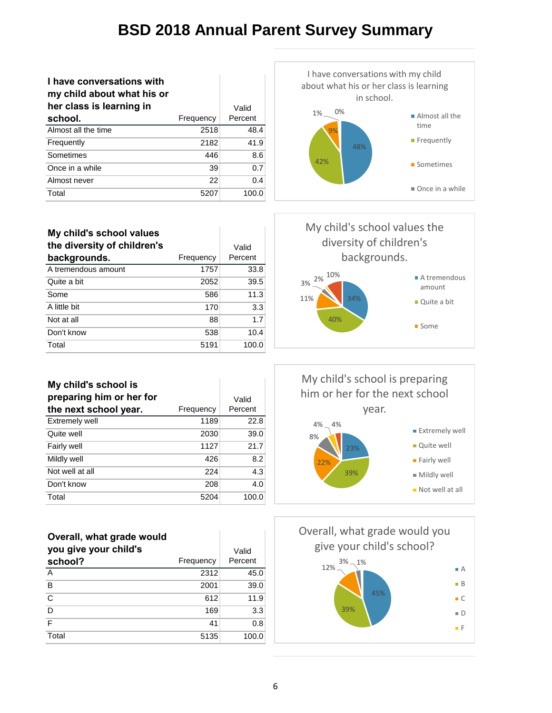| I have conversations with<br>my child about what his or |           |         |
|---------------------------------------------------------|-----------|---------|
| her class is learning in                                |           | Valid   |
| school.                                                 | Frequency | Percent |
| Almost all the time                                     | 2518      | 48.4    |
| Frequently                                              | 2182      | 41.9    |
| Sometimes                                               | 446       | 8.6     |
| Once in a while                                         | 39        | 0.7     |
| Almost never                                            | 22        | 0.4     |
| Total                                                   | 5207      | 100.0   |



| My child's school values<br>the diversity of children's<br>backgrounds. | Frequency | Valid<br>Percent |
|-------------------------------------------------------------------------|-----------|------------------|
| A tremendous amount                                                     | 1757      | 33.8             |
| Quite a bit                                                             | 2052      | 39.5             |
| Some                                                                    | 586       | 11.3             |
| A little bit                                                            | 170       | 3.3              |
| Not at all                                                              | 88        | 1.7              |
| Don't know                                                              | 538       | 10.4             |
| Total                                                                   | 5191      | 100.0            |

**My child's school is preparing him or her for** 

**the next school year.** Frequency

Extremely well 1189 22.8 **Quite well** 2030 39.0 Fairly well **1127** 21.7 Mildly well 8.2 Not well at all 224 4.3 **Don't know** 208 4.0 Total 5204 100.0



**Some** 

My child's school is preparing him or her for the next school year.



| Overall, what grade would<br>you give your child's<br>school? | Frequency | Valid<br>Percent |
|---------------------------------------------------------------|-----------|------------------|
| A                                                             | 2312      | 45.0             |
| B                                                             | 2001      | 39.0             |
| $\mathsf{C}$                                                  | 612       | 11.9             |
| D                                                             | 169       | 3.3              |
| F                                                             | 41        | 0.8              |
| Total                                                         | 5135      | 100.0            |



Valid Percent